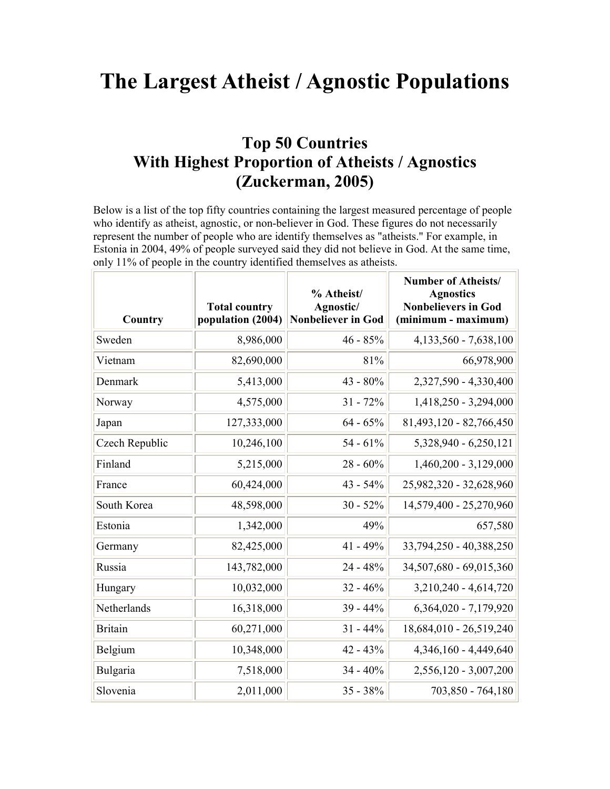## The Largest Atheist / Agnostic Populations

## Top 50 Countries With Highest Proportion of Atheists / Agnostics (Zuckerman, 2005)

Below is a list of the top fifty countries containing the largest measured percentage of people who identify as atheist, agnostic, or non-believer in God. These figures do not necessarily represent the number of people who are identify themselves as "atheists." For example, in Estonia in 2004, 49% of people surveyed said they did not believe in God. At the same time, only 11% of people in the country identified themselves as atheists.

| Country        | <b>Total country</b><br>population (2004) | % Atheist/<br>Agnostic/<br><b>Nonbeliever in God</b> | <b>Number of Atheists/</b><br><b>Agnostics</b><br><b>Nonbelievers in God</b><br>(minimum - maximum) |
|----------------|-------------------------------------------|------------------------------------------------------|-----------------------------------------------------------------------------------------------------|
| Sweden         | 8,986,000                                 | $46 - 85%$                                           | 4, 133, 560 - 7, 638, 100                                                                           |
| Vietnam        | 82,690,000                                | 81%                                                  | 66,978,900                                                                                          |
| Denmark        | 5,413,000                                 | 43 - 80%                                             | 2,327,590 - 4,330,400                                                                               |
| Norway         | 4,575,000                                 | $31 - 72%$                                           | 1,418,250 - 3,294,000                                                                               |
| Japan          | 127,333,000                               | $64 - 65%$                                           | 81,493,120 - 82,766,450                                                                             |
| Czech Republic | 10,246,100                                | $54 - 61\%$                                          | 5,328,940 - 6,250,121                                                                               |
| Finland        | 5,215,000                                 | $28 - 60\%$                                          | $1,460,200 - 3,129,000$                                                                             |
| France         | 60,424,000                                | $43 - 54\%$                                          | 25,982,320 - 32,628,960                                                                             |
| South Korea    | 48,598,000                                | $30 - 52%$                                           | 14,579,400 - 25,270,960                                                                             |
| Estonia        | 1,342,000                                 | 49%                                                  | 657,580                                                                                             |
| Germany        | 82,425,000                                | $41 - 49%$                                           | 33,794,250 - 40,388,250                                                                             |
| Russia         | 143,782,000                               | $24 - 48%$                                           | 34,507,680 - 69,015,360                                                                             |
| Hungary        | 10,032,000                                | $32 - 46%$                                           | $3,210,240 - 4,614,720$                                                                             |
| Netherlands    | 16,318,000                                | $39 - 44%$                                           | $6,364,020 - 7,179,920$                                                                             |
| <b>Britain</b> | 60,271,000                                | $31 - 44\%$                                          | 18,684,010 - 26,519,240                                                                             |
| Belgium        | 10,348,000                                | $42 - 43%$                                           | 4,346,160 - 4,449,640                                                                               |
| Bulgaria       | 7,518,000                                 | $34 - 40%$                                           | 2,556,120 - 3,007,200                                                                               |
| Slovenia       | 2,011,000                                 | $35 - 38%$                                           | 703,850 - 764,180                                                                                   |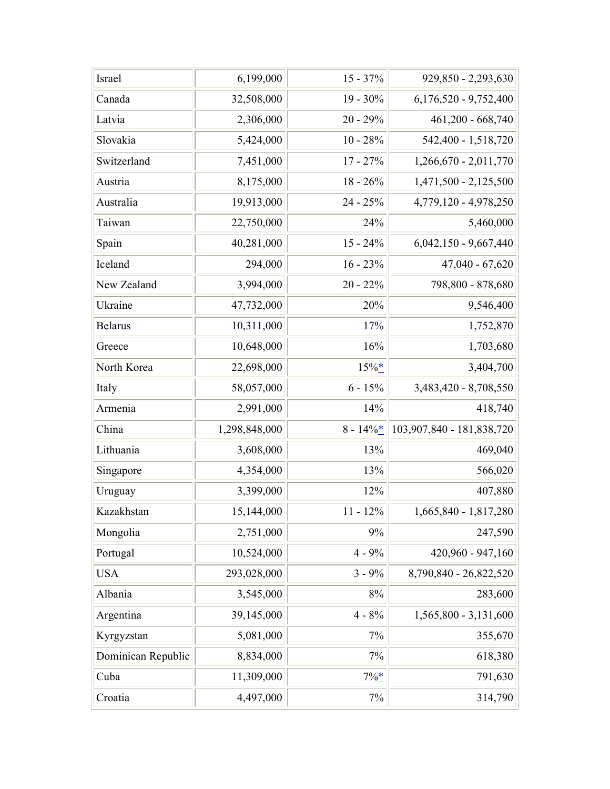| Israel             | 6,199,000     | $15 - 37\%$ | 929,850 - 2,293,630       |
|--------------------|---------------|-------------|---------------------------|
| Canada             | 32,508,000    | $19 - 30\%$ | $6,176,520 - 9,752,400$   |
| Latvia             | 2,306,000     | $20 - 29%$  | 461,200 - 668,740         |
| Slovakia           | 5,424,000     | $10 - 28%$  | 542,400 - 1,518,720       |
| Switzerland        | 7,451,000     | $17 - 27\%$ | $1,266,670 - 2,011,770$   |
| Austria            | 8,175,000     | $18 - 26\%$ | $1,471,500 - 2,125,500$   |
| Australia          | 19,913,000    | $24 - 25%$  | 4,779,120 - 4,978,250     |
| Taiwan             | 22,750,000    | 24%         | 5,460,000                 |
| Spain              | 40,281,000    | $15 - 24\%$ | $6,042,150 - 9,667,440$   |
| Iceland            | 294,000       | $16 - 23%$  | $47,040 - 67,620$         |
| New Zealand        | 3,994,000     | $20 - 22%$  | 798,800 - 878,680         |
| Ukraine            | 47,732,000    | 20%         | 9,546,400                 |
| <b>Belarus</b>     | 10,311,000    | 17%         | 1,752,870                 |
| Greece             | 10,648,000    | 16%         | 1,703,680                 |
| North Korea        | 22,698,000    | $15\%$      | 3,404,700                 |
| Italy              | 58,057,000    | $6 - 15\%$  | 3,483,420 - 8,708,550     |
| Armenia            | 2,991,000     | 14%         | 418,740                   |
| China              | 1,298,848,000 | $8 - 14\%$  | 103,907,840 - 181,838,720 |
| Lithuania          | 3,608,000     | 13%         | 469,040                   |
| Singapore          | 4,354,000     | 13%         | 566,020                   |
| Uruguay            | 3,399,000     | 12%         | 407,880                   |
| Kazakhstan         | 15,144,000    | $11 - 12\%$ | $1,665,840 - 1,817,280$   |
| Mongolia           | 2,751,000     | 9%          | 247,590                   |
| Portugal           | 10,524,000    | $4 - 9\%$   | 420,960 - 947,160         |
| <b>USA</b>         | 293,028,000   | $3 - 9\%$   | 8,790,840 - 26,822,520    |
| Albania            | 3,545,000     | $8\%$       | 283,600                   |
| Argentina          | 39,145,000    | $4 - 8\%$   | $1,565,800 - 3,131,600$   |
| Kyrgyzstan         | 5,081,000     | $7\%$       | 355,670                   |
| Dominican Republic | 8,834,000     | $7\%$       | 618,380                   |
| Cuba               | 11,309,000    | $7\%$ $*$   | 791,630                   |
| Croatia            | 4,497,000     | $7\%$       | 314,790                   |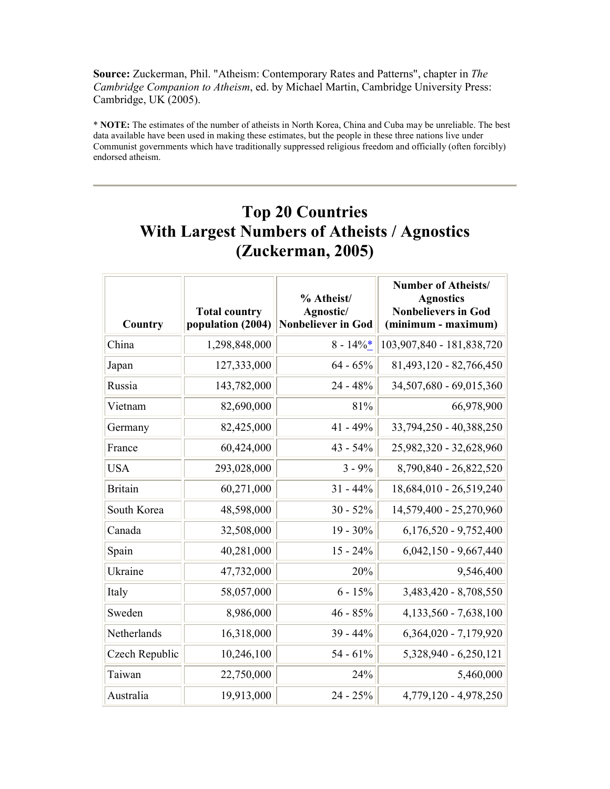Source: Zuckerman, Phil. "Atheism: Contemporary Rates and Patterns", chapter in The Cambridge Companion to Atheism, ed. by Michael Martin, Cambridge University Press: Cambridge, UK (2005).

\* NOTE: The estimates of the number of atheists in North Korea, China and Cuba may be unreliable. The best data available have been used in making these estimates, but the people in these three nations live under Communist governments which have traditionally suppressed religious freedom and officially (often forcibly) endorsed atheism.

## Top 20 Countries With Largest Numbers of Atheists / Agnostics (Zuckerman, 2005)

| Country        | <b>Total country</b><br>population (2004) | % Atheist/<br>Agnostic/<br><b>Nonbeliever in God</b> | <b>Number of Atheists/</b><br><b>Agnostics</b><br><b>Nonbelievers in God</b><br>(minimum - maximum) |
|----------------|-------------------------------------------|------------------------------------------------------|-----------------------------------------------------------------------------------------------------|
| China          | 1,298,848,000                             | $8 - 14\%$ *                                         | 103,907,840 - 181,838,720                                                                           |
| Japan          | 127,333,000                               | $64 - 65%$                                           | 81,493,120 - 82,766,450                                                                             |
| Russia         | 143,782,000                               | $24 - 48%$                                           | 34,507,680 - 69,015,360                                                                             |
| Vietnam        | 82,690,000                                | 81%                                                  | 66,978,900                                                                                          |
| Germany        | 82,425,000                                | $41 - 49%$                                           | 33,794,250 - 40,388,250                                                                             |
| France         | 60,424,000                                | $43 - 54\%$                                          | 25,982,320 - 32,628,960                                                                             |
| <b>USA</b>     | 293,028,000                               | $3 - 9\%$                                            | 8,790,840 - 26,822,520                                                                              |
| <b>Britain</b> | 60,271,000                                | $31 - 44\%$                                          | 18,684,010 - 26,519,240                                                                             |
| South Korea    | 48,598,000                                | $30 - 52%$                                           | 14,579,400 - 25,270,960                                                                             |
| Canada         | 32,508,000                                | $19 - 30\%$                                          | $6,176,520 - 9,752,400$                                                                             |
| Spain          | 40,281,000                                | $15 - 24\%$                                          | $6,042,150 - 9,667,440$                                                                             |
| Ukraine        | 47,732,000                                | 20%                                                  | 9,546,400                                                                                           |
| Italy          | 58,057,000                                | $6 - 15%$                                            | 3,483,420 - 8,708,550                                                                               |
| Sweden         | 8,986,000                                 | $46 - 85%$                                           | $4,133,560 - 7,638,100$                                                                             |
| Netherlands    | 16,318,000                                | $39 - 44%$                                           | 6,364,020 - 7,179,920                                                                               |
| Czech Republic | 10,246,100                                | $54 - 61\%$                                          | 5,328,940 - 6,250,121                                                                               |
| Taiwan         | 22,750,000                                | 24%                                                  | 5,460,000                                                                                           |
| Australia      | 19,913,000                                | $24 - 25%$                                           | 4,779,120 - 4,978,250                                                                               |